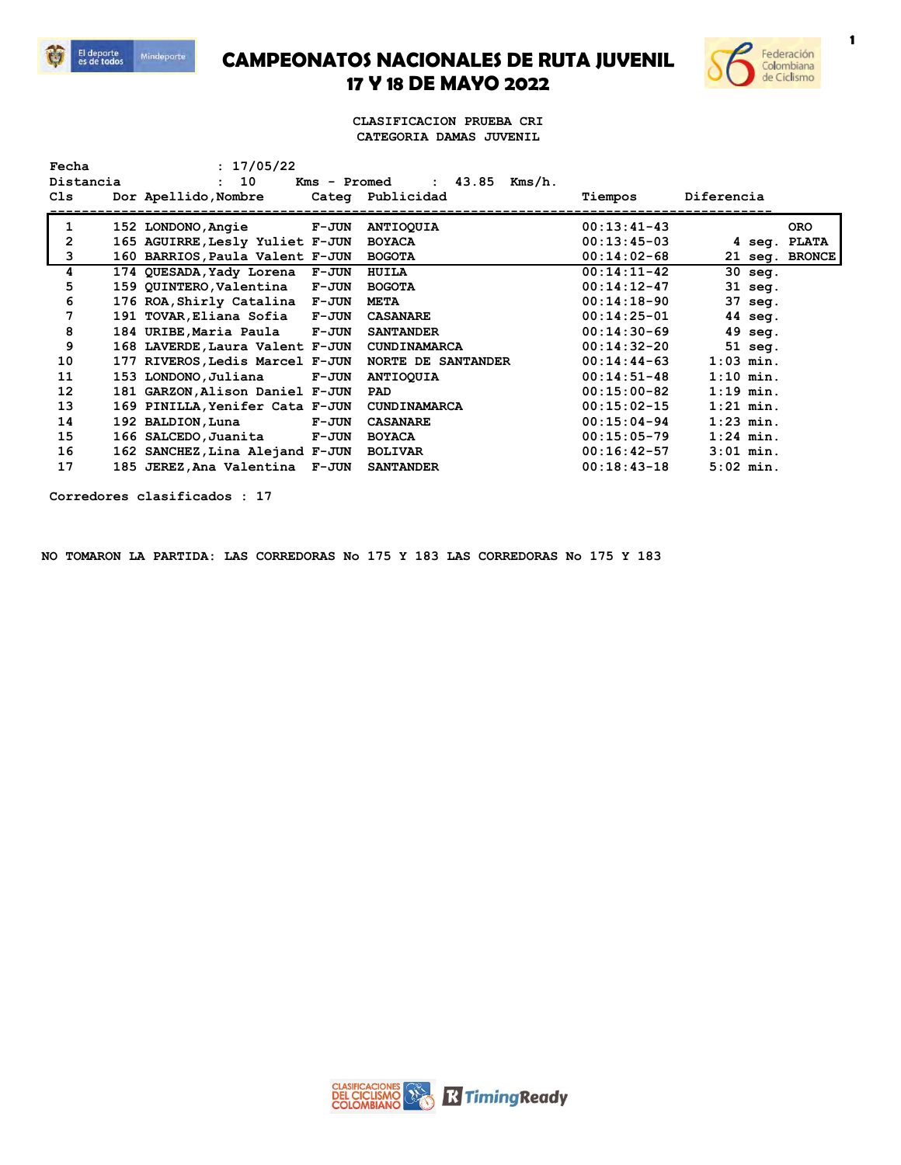

**CAMPEONATOS NACIONALES DE RUTA JUVENIL 17 Y 18 DE MAYO 2022**



**1**

## **CLASIFICACION PRUEBA CRI CATEGORIA DAMAS JUVENIL**

| Fecha        |  | : 17/05/22                      |              |                                  |               |              |                |
|--------------|--|---------------------------------|--------------|----------------------------------|---------------|--------------|----------------|
| Distancia    |  | : 10                            |              | : $43.85$ Kms/h.<br>Kms - Promed |               |              |                |
| Cls          |  | Dor Apellido, Nombre            |              | Categ Publicidad                 | Tiempos       | Diferencia   |                |
| 1            |  |                                 |              |                                  | $00:13:41-43$ |              | <b>ORO</b>     |
|              |  | 152 LONDONO, Angie              | <b>F-JUN</b> | <b>ANTIOQUIA</b>                 |               |              |                |
| $\mathbf{2}$ |  | 165 AGUIRRE, Lesly Yuliet F-JUN |              | <b>BOYACA</b>                    | $00:13:45-03$ | 4 seg. PLATA |                |
| 3            |  | 160 BARRIOS, Paula Valent F-JUN |              | <b>BOGOTA</b>                    | $00:14:02-68$ |              | 21 seq. BRONCE |
| 4            |  | 174 QUESADA, Yady Lorena F-JUN  |              | HUILA                            | $00:14:11-42$ | 30 seg.      |                |
| 5            |  | 159 QUINTERO, Valentina F-JUN   |              | <b>BOGOTA</b>                    | $00:14:12-47$ | 31 seg.      |                |
| 6            |  | 176 ROA, Shirly Catalina F-JUN  |              | <b>META</b>                      | $00:14:18-90$ | 37 seg.      |                |
| 7            |  | 191 TOVAR, Eliana Sofia F-JUN   |              | <b>CASANARE</b>                  | $00:14:25-01$ | 44 seg.      |                |
| 8            |  | 184 URIBE, Maria Paula F-JUN    |              | <b>SANTANDER</b>                 | $00:14:30-69$ | 49 seg.      |                |
| 9            |  | 168 LAVERDE, Laura Valent F-JUN |              | <b>CUNDINAMARCA</b>              | $00:14:32-20$ | $51$ seq.    |                |
| 10           |  | 177 RIVEROS, Ledis Marcel F-JUN |              | <b>NORTE DE SANTANDER</b>        | $00:14:44-63$ | $1:03$ min.  |                |
| 11           |  | 153 LONDONO,Juliana             | <b>F-JUN</b> | <b>ANTIOQUIA</b>                 | $00:14:51-48$ | $1:10$ min.  |                |
| 12           |  | 181 GARZON, Alison Daniel F-JUN |              | PAD                              | $00:15:00-82$ | $1:19$ min.  |                |
| 13           |  | 169 PINILLA, Yenifer Cata F-JUN |              | <b>CUNDINAMARCA</b>              | $00:15:02-15$ | $1:21$ min.  |                |
| 14           |  | 192 BALDION, Luna               | <b>F-JUN</b> | <b>CASANARE</b>                  | $00:15:04-94$ | $1:23$ min.  |                |
| 15           |  | 166 SALCEDO,Juanita             | <b>F-JUN</b> | <b>BOYACA</b>                    | $00:15:05-79$ | $1:24$ min.  |                |
| 16           |  | 162 SANCHEZ, Lina Alejand F-JUN |              | <b>BOLIVAR</b>                   | $00:16:42-57$ | $3:01$ min.  |                |
| 17           |  | 185 JEREZ, Ana Valentina F-JUN  |              | <b>SANTANDER</b>                 | $00:18:43-18$ | $5:02$ min.  |                |

**Corredores clasificados : 17**

**NO TOMARON LA PARTIDA: LAS CORREDORAS No 175 Y 183 LAS CORREDORAS No 175 Y 183**

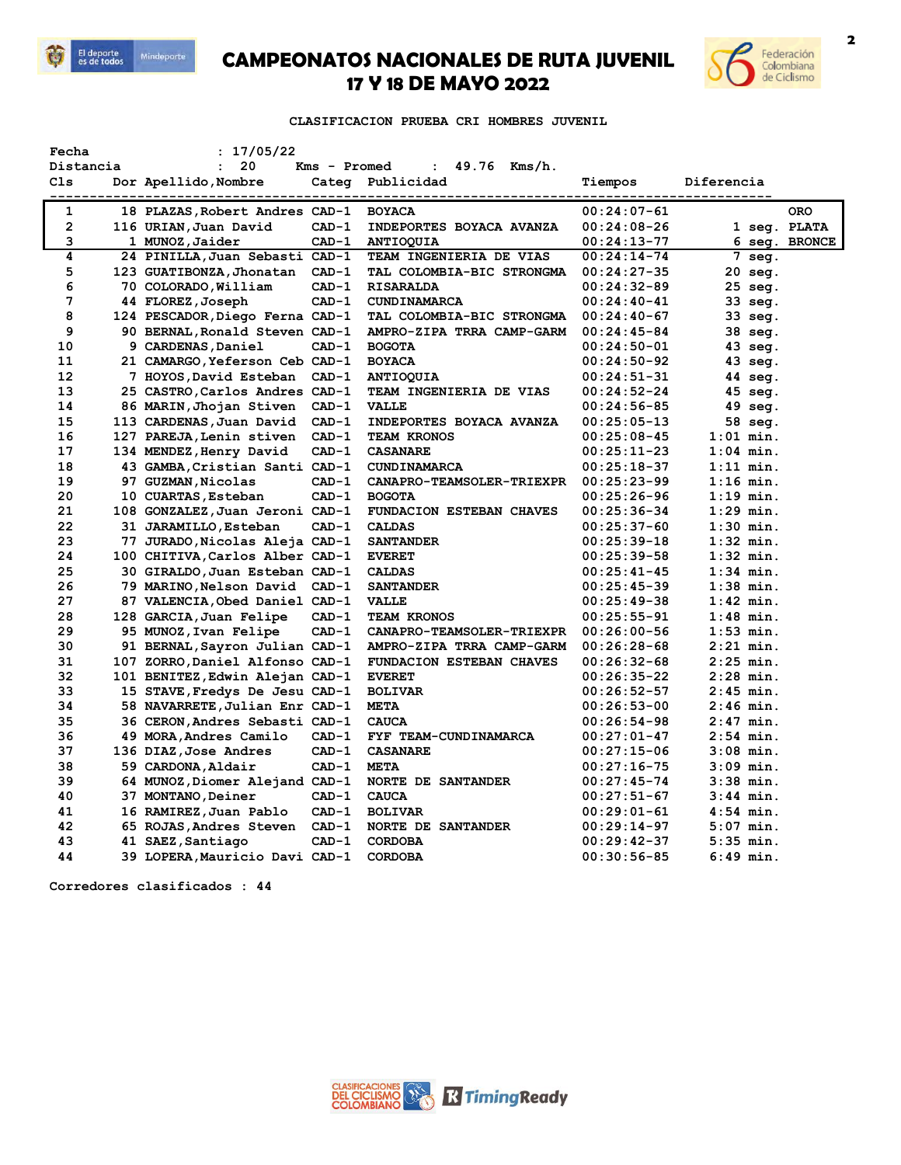

## **CAMPEONATOS NACIONALES DE RUTA JUVENIL 17 Y 18 DE MAYO 2022**



**CLASIFICACION PRUEBA CRI HOMBRES JUVENIL** 

| Fecha                                                                                   |  | : 17/05/22                      |         |                           |                                                    |             |               |
|-----------------------------------------------------------------------------------------|--|---------------------------------|---------|---------------------------|----------------------------------------------------|-------------|---------------|
| 20<br>Distancia<br>49.76 Kms/h.<br>$\ddot{\phantom{a}}$<br>Kms - Promed<br>$\mathbf{L}$ |  |                                 |         |                           |                                                    |             |               |
| C1s                                                                                     |  | Dor Apellido, Nombre            |         | Categ Publicidad          | Tiempos<br>-------- <u>-----------------------</u> | Diferencia  |               |
| 1                                                                                       |  | 18 PLAZAS, Robert Andres CAD-1  |         | <b>BOYACA</b>             | $00:24:07-61$                                      |             | <b>ORO</b>    |
| $\overline{2}$                                                                          |  | 116 URIAN, Juan David           | $CAD-1$ | INDEPORTES BOYACA AVANZA  | $00:24:08-26$                                      |             | 1 seg. PLATA  |
| 3                                                                                       |  | 1 MUNOZ, Jaider                 | $CAD-1$ | <b>ANTIOQUIA</b>          | $00:24:13-77$                                      |             | 6 seg. BRONCE |
| 4                                                                                       |  | 24 PINILLA, Juan Sebasti CAD-1  |         | TEAM INGENIERIA DE VIAS   | $00:24:14-74$                                      | 7 seg.      |               |
| 5                                                                                       |  | 123 GUATIBONZA, Jhonatan        | $CAD-1$ | TAL COLOMBIA-BIC STRONGMA | $00:24:27-35$                                      | 20 seg.     |               |
| 6                                                                                       |  | 70 COLORADO, William            | $CAD-1$ | <b>RISARALDA</b>          | $00:24:32-89$                                      | $25$ seq.   |               |
| 7                                                                                       |  | 44 FLOREZ, Joseph               | $CAD-1$ | CUNDINAMARCA              | $00:24:40-41$                                      | 33 seg.     |               |
| 8                                                                                       |  | 124 PESCADOR, Diego Ferna CAD-1 |         | TAL COLOMBIA-BIC STRONGMA | $00:24:40-67$                                      | 33 seg.     |               |
| 9                                                                                       |  | 90 BERNAL, Ronald Steven CAD-1  |         | AMPRO-ZIPA TRRA CAMP-GARM | $00:24:45-84$                                      | 38 seg.     |               |
| 10                                                                                      |  | 9 CARDENAS, Daniel              | $CAD-1$ | <b>BOGOTA</b>             | $00:24:50-01$                                      | 43 seg.     |               |
| 11                                                                                      |  | 21 CAMARGO, Yeferson Ceb CAD-1  |         | <b>BOYACA</b>             | $00:24:50-92$                                      | 43 seg.     |               |
| 12                                                                                      |  | 7 HOYOS,David Esteban           | $CAD-1$ | <b>ANTIOQUIA</b>          | $00:24:51-31$                                      | 44 seg.     |               |
| 13                                                                                      |  | 25 CASTRO, Carlos Andres CAD-1  |         | TEAM INGENIERIA DE VIAS   | $00:24:52-24$                                      | 45 seg.     |               |
| 14                                                                                      |  | 86 MARIN, Jhojan Stiven         | $CAD-1$ | <b>VALLE</b>              | $00:24:56-85$                                      | 49 seg.     |               |
| 15                                                                                      |  | 113 CARDENAS, Juan David        | $CAD-1$ | INDEPORTES BOYACA AVANZA  | $00:25:05-13$                                      | 58 seg.     |               |
| 16                                                                                      |  | 127 PAREJA, Lenin stiven        | $CAD-1$ | TEAM KRONOS               | $00:25:08-45$                                      | $1:01$ min. |               |
| 17                                                                                      |  | 134 MENDEZ, Henry David         | $CAD-1$ | <b>CASANARE</b>           | $00:25:11-23$                                      | $1:04$ min. |               |
| 18                                                                                      |  | 43 GAMBA, Cristian Santi CAD-1  |         | <b>CUNDINAMARCA</b>       | $00:25:18-37$                                      | $1:11$ min. |               |
| 19                                                                                      |  | 97 GUZMAN, Nicolas              | $CAD-1$ | CANAPRO-TEAMSOLER-TRIEXPR | $00:25:23-99$                                      | $1:16$ min. |               |
| 20                                                                                      |  | 10 CUARTAS, Esteban             | $CAD-1$ | <b>BOGOTA</b>             | $00:25:26-96$                                      | $1:19$ min. |               |
| 21                                                                                      |  | 108 GONZALEZ, Juan Jeroni CAD-1 |         | FUNDACION ESTEBAN CHAVES  | $00:25:36-34$                                      | $1:29$ min. |               |
| 22                                                                                      |  | 31 JARAMILLO, Esteban           | $CAD-1$ | <b>CALDAS</b>             | $00:25:37-60$                                      | $1:30$ min. |               |
| 23                                                                                      |  | 77 JURADO,Nicolas Aleja CAD-1   |         | <b>SANTANDER</b>          | $00:25:39-18$                                      | $1:32$ min. |               |
| 24                                                                                      |  | 100 CHITIVA, Carlos Alber CAD-1 |         | <b>EVERET</b>             | $00:25:39-58$                                      | $1:32$ min. |               |
| 25                                                                                      |  | 30 GIRALDO, Juan Esteban CAD-1  |         | <b>CALDAS</b>             | $00:25:41-45$                                      | $1:34$ min. |               |
| 26                                                                                      |  | 79 MARINO, Nelson David CAD-1   |         | <b>SANTANDER</b>          | $00:25:45-39$                                      | $1:38$ min. |               |
| 27                                                                                      |  | 87 VALENCIA, Obed Daniel CAD-1  |         | <b>VALLE</b>              | $00:25:49-38$                                      | $1:42$ min. |               |
| 28                                                                                      |  | 128 GARCIA, Juan Felipe         | $CAD-1$ | TEAM KRONOS               | $00:25:55-91$                                      | $1:48$ min. |               |
| 29                                                                                      |  | 95 MUNOZ, Ivan Felipe           | $CAD-1$ | CANAPRO-TEAMSOLER-TRIEXPR | $00:26:00-56$                                      | $1:53$ min. |               |
| 30                                                                                      |  | 91 BERNAL, Sayron Julian CAD-1  |         | AMPRO-ZIPA TRRA CAMP-GARM | $00:26:28-68$                                      | $2:21$ min. |               |
| 31                                                                                      |  | 107 ZORRO, Daniel Alfonso CAD-1 |         | FUNDACION ESTEBAN CHAVES  | $00:26:32-68$                                      | $2:25$ min. |               |
| 32                                                                                      |  | 101 BENITEZ, Edwin Alejan CAD-1 |         | <b>EVERET</b>             | $00:26:35-22$                                      | $2:28$ min. |               |
| 33                                                                                      |  | 15 STAVE, Fredys De Jesu CAD-1  |         | <b>BOLIVAR</b>            | $00:26:52-57$                                      | $2:45$ min. |               |
| 34                                                                                      |  | 58 NAVARRETE, Julian Enr CAD-1  |         | <b>META</b>               | $00:26:53-00$                                      | $2:46$ min. |               |
| 35                                                                                      |  | 36 CERON, Andres Sebasti CAD-1  |         | <b>CAUCA</b>              | $00:26:54-98$                                      | $2:47$ min. |               |
| 36                                                                                      |  | 49 MORA, Andres Camilo          | $CAD-1$ | FYF TEAM-CUNDINAMARCA     | $00:27:01-47$                                      | $2:54$ min. |               |
| 37                                                                                      |  | 136 DIAZ, Jose Andres           | $CAD-1$ | <b>CASANARE</b>           | $00:27:15-06$                                      | $3:08$ min. |               |
| 38                                                                                      |  | 59 CARDONA, Aldair              | $CAD-1$ | <b>META</b>               | $00:27:16-75$                                      | $3:09$ min. |               |
| 39                                                                                      |  | 64 MUNOZ, Diomer Alejand CAD-1  |         | NORTE DE SANTANDER        | $00:27:45-74$                                      | $3:38$ min. |               |
| 40                                                                                      |  | 37 MONTANO, Deiner              | $CAD-1$ | <b>CAUCA</b>              | $00:27:51-67$                                      | $3:44$ min. |               |
| 41                                                                                      |  | 16 RAMIREZ, Juan Pablo          | $CAD-1$ | <b>BOLIVAR</b>            | $00:29:01-61$                                      | $4:54$ min. |               |
| 42                                                                                      |  | 65 ROJAS, Andres Steven         | $CAD-1$ | <b>NORTE DE SANTANDER</b> | $00:29:14-97$                                      | $5:07$ min. |               |
| 43                                                                                      |  | 41 SAEZ, Santiago               | $CAD-1$ | <b>CORDOBA</b>            | $00:29:42-37$                                      | $5:35$ min. |               |
| 44                                                                                      |  | 39 LOPERA, Mauricio Davi CAD-1  |         | <b>CORDOBA</b>            | $00:30:56-85$                                      | $6:49$ min. |               |

**Corredores clasificados : 44**